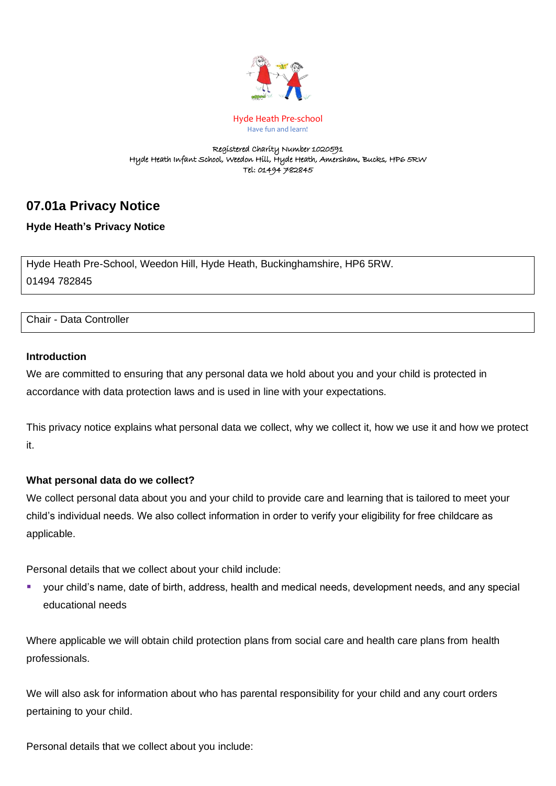

Hyde Heath Pre-school Have fun and learn!

#### Registered Charity Number 1020591 Hyde Heath Infant School, Weedon Hill, Hyde Heath, Amersham, Bucks, HP6 5RW Tel: 01494 782845

# **07.01a Privacy Notice**

## **Hyde Heath's Privacy Notice**

Hyde Heath Pre-School, Weedon Hill, Hyde Heath, Buckinghamshire, HP6 5RW. 01494 782845

#### Chair - Data Controller

#### **Introduction**

We are committed to ensuring that any personal data we hold about you and your child is protected in accordance with data protection laws and is used in line with your expectations.

This privacy notice explains what personal data we collect, why we collect it, how we use it and how we protect it.

#### **What personal data do we collect?**

We collect personal data about you and your child to provide care and learning that is tailored to meet your child's individual needs. We also collect information in order to verify your eligibility for free childcare as applicable.

Personal details that we collect about your child include:

your child's name, date of birth, address, health and medical needs, development needs, and any special educational needs

Where applicable we will obtain child protection plans from social care and health care plans from health professionals.

We will also ask for information about who has parental responsibility for your child and any court orders pertaining to your child.

Personal details that we collect about you include: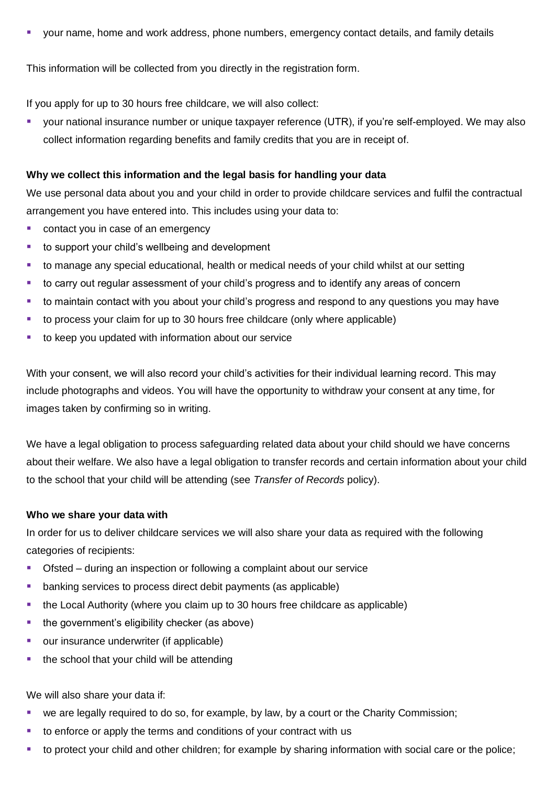■ your name, home and work address, phone numbers, emergency contact details, and family details

This information will be collected from you directly in the registration form.

If you apply for up to 30 hours free childcare, we will also collect:

your national insurance number or unique taxpayer reference (UTR), if you're self-employed. We may also collect information regarding benefits and family credits that you are in receipt of.

#### **Why we collect this information and the legal basis for handling your data**

We use personal data about you and your child in order to provide childcare services and fulfil the contractual arrangement you have entered into. This includes using your data to:

- contact you in case of an emergency
- to support your child's wellbeing and development
- to manage any special educational, health or medical needs of your child whilst at our setting
- to carry out regular assessment of your child's progress and to identify any areas of concern
- to maintain contact with you about your child's progress and respond to any questions you may have
- to process your claim for up to 30 hours free childcare (only where applicable)
- to keep you updated with information about our service

With your consent, we will also record your child's activities for their individual learning record. This may include photographs and videos. You will have the opportunity to withdraw your consent at any time, for images taken by confirming so in writing.

We have a legal obligation to process safeguarding related data about your child should we have concerns about their welfare. We also have a legal obligation to transfer records and certain information about your child to the school that your child will be attending (see *Transfer of Records* policy).

#### **Who we share your data with**

In order for us to deliver childcare services we will also share your data as required with the following categories of recipients:

- Ofsted during an inspection or following a complaint about our service
- banking services to process direct debit payments (as applicable)
- the Local Authority (where you claim up to 30 hours free childcare as applicable)
- the government's eligibility checker (as above)
- our insurance underwriter (if applicable)
- the school that your child will be attending

We will also share your data if:

- we are legally required to do so, for example, by law, by a court or the Charity Commission;
- to enforce or apply the terms and conditions of your contract with us
- to protect your child and other children; for example by sharing information with social care or the police;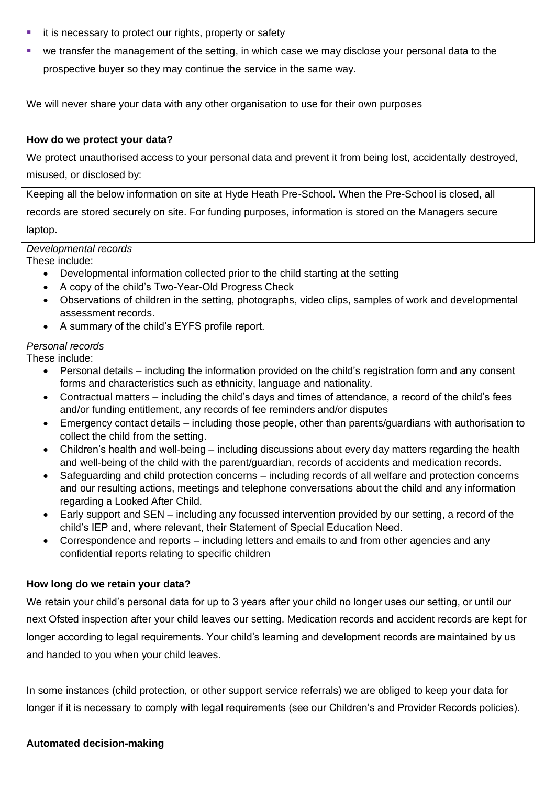- it is necessary to protect our rights, property or safety
- we transfer the management of the setting, in which case we may disclose your personal data to the prospective buyer so they may continue the service in the same way.

We will never share your data with any other organisation to use for their own purposes

#### **How do we protect your data?**

We protect unauthorised access to your personal data and prevent it from being lost, accidentally destroyed, misused, or disclosed by:

Keeping all the below information on site at Hyde Heath Pre-School. When the Pre-School is closed, all records are stored securely on site. For funding purposes, information is stored on the Managers secure laptop.

## *Developmental records*

These include:

- Developmental information collected prior to the child starting at the setting
- A copy of the child's Two-Year-Old Progress Check
- Observations of children in the setting, photographs, video clips, samples of work and developmental assessment records.
- A summary of the child's EYFS profile report.

## *Personal records*

These include:

- Personal details including the information provided on the child's registration form and any consent forms and characteristics such as ethnicity, language and nationality.
- Contractual matters including the child's days and times of attendance, a record of the child's fees and/or funding entitlement, any records of fee reminders and/or disputes
- Emergency contact details including those people, other than parents/guardians with authorisation to collect the child from the setting.
- Children's health and well-being including discussions about every day matters regarding the health and well-being of the child with the parent/guardian, records of accidents and medication records.
- Safeguarding and child protection concerns including records of all welfare and protection concerns and our resulting actions, meetings and telephone conversations about the child and any information regarding a Looked After Child.
- Early support and SEN including any focussed intervention provided by our setting, a record of the child's IEP and, where relevant, their Statement of Special Education Need.
- Correspondence and reports including letters and emails to and from other agencies and any confidential reports relating to specific children

### **How long do we retain your data?**

We retain your child's personal data for up to 3 years after your child no longer uses our setting, or until our next Ofsted inspection after your child leaves our setting. Medication records and accident records are kept for longer according to legal requirements. Your child's learning and development records are maintained by us and handed to you when your child leaves.

In some instances (child protection, or other support service referrals) we are obliged to keep your data for longer if it is necessary to comply with legal requirements (see our Children's and Provider Records policies).

### **Automated decision-making**